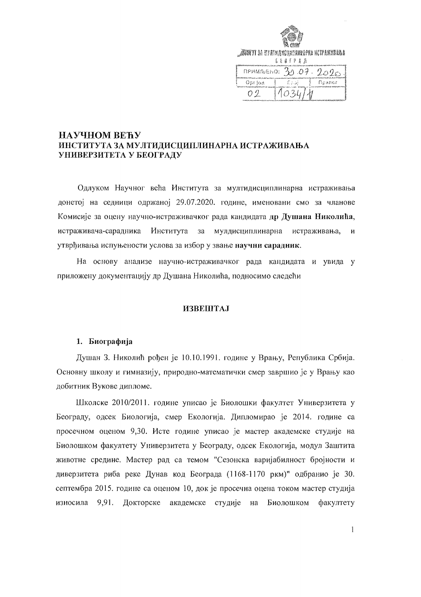|        | <i>JEART</i> I 3A NY ATMANGARANDANA KATAKINANA<br>E E B T P A A |  |  |  |  |
|--------|-----------------------------------------------------------------|--|--|--|--|
|        | $n$ PMMAENO: $30.07.2020$                                       |  |  |  |  |
| Optiqa | ان کال<br>Поэлог                                                |  |  |  |  |
| O 7    | 10.34                                                           |  |  |  |  |

### НАУЧНОМ ВЕЋУ ИНСТИТУТА ЗА МУЛТИДИСЦИПЛИНАРНА ИСТРАЖИВАЊА УНИВЕРЗИТЕТА У БЕОГРАДУ

Одлуком Научног већа Института за мултидисциплинарна истраживања донетој на седници одржаној 29.07.2020. године, именовани смо за чланове Комисије за оцену научно-истраживачког рада кандидата др Душана Николића, истраживача-сарадника Института за мулдисциплинарна истраживања,  $\mathbf{M}$ утврђивања испуњености услова за избор у звање научни сарадник.

На основу анализе научно-истраживачког рада кандидата и увида у приложену документацију др Душана Николића, подносимо следећи

### **ИЗВЕШТАЈ**

### 1. Биографија

Душан З. Николић рођен је 10.10.1991. године у Врању, Република Србија. Основну школу и гимназију, природно-математички смер завршио је у Врању као добитник Вукове дипломе.

Школске 2010/2011. године уписао је Биолошки факултет Универзитета у Београду, одсек Биологија, смер Екологија. Дипломирао је 2014. године са просечном оценом 9,30. Исте године уписао је мастер академске студије на Биолошком факултету Универзитета у Београду, одсек Екологија, модул Заштита животне средине. Мастер рад са темом "Сезонска варијабилност бројности и диверзитета риба реке Дунав код Београда (1168-1170 ркм)" одбранио је 30. септембра 2015. године са оценом 10, док је просечна оцена током мастер студија износила 9,91. Докторске академске студије на Биолошком факултету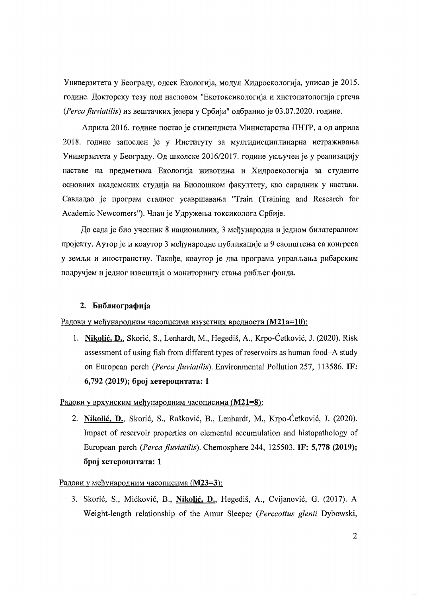Универзитета у Београду, одсек Екологија, модул Хидроекологија, уписао је 2015. године. Докторску тезу под насловом "Екотоксикологија и хистопатологија гргеча (Perca fluviatilis) из вештачких језера у Србији" одбранио је 03.07.2020. године.

Априла 2016. године постао је стипендиста Министарства ПНТР, а од априла 2018. године запослен је у Институту за мултидисциплинарна истраживања Универзитета у Београду. Од школске 2016/2017. године укључен је у реализацију наставе на предметима Екологија животиња и Хидроекологија за студенте основних академских студија на Биолошком факултету, као сарадник у настави. Савладао је програм сталног усавршавања "Train (Training and Research for Academic Newcomers"). Члан је Удружења токсиколога Србије.

До сада је био учесник 8 националних, 3 међународна и једном билатералном пројекту. Аутор је и коаутор 3 међународне публикације и 9 саопштења са конгреса у земљи и иностранству. Такође, коаутор је два програма управљања рибарским подручјем и једног извештаја о мониторингу стања рибљег фонда.

### 2. Библиографија

Радови у међународним часописима изузетних вредности (М21а=10):

1. Nikolić, D., Skorić, S., Lenhardt, M., Hegediš, A., Krpo-Ćetković, J. (2020). Risk assessment of using fish from different types of reservoirs as human food–A study on European perch (Perca fluviatilis). Environmental Pollution 257, 113586. IF: 6,792 (2019); број хетероцитата: 1

### Радови у врхунским међународним часописима (М21=8):

2. Nikolić, D., Skorić, S., Rašković, B., Lenhardt, M., Krpo-Ćetković, J. (2020). Impact of reservoir properties on elemental accumulation and histopathology of European perch (Perca fluviatilis). Chemosphere 244, 125503. IF: 5,778 (2019); број хетероцитата: 1

### Радови у међународним часописима (М23=3):

3. Skorić, S., Mićković, B., Nikolić, D., Hegediš, A., Cvijanović, G. (2017). A Weight-length relationship of the Amur Sleeper (Perccottus glenii Dybowski,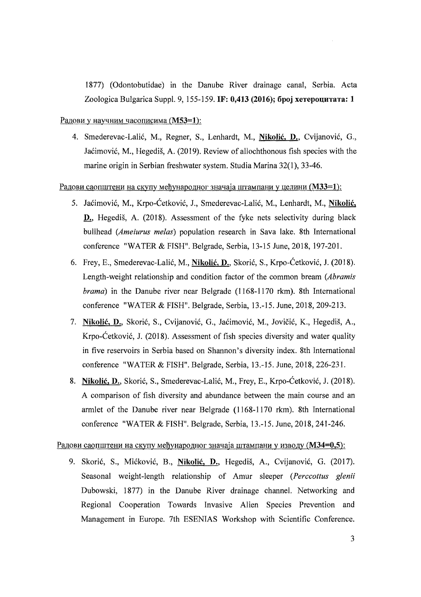1877) (Odontobutidae) in the Danube River drainage canal, Serbia. Acta Zoologica Bulgarica Suppl. 9, 155-159. IF: 0,413 (2016); број хетероцитата: 1

### Радови у научним часописима (M53=1):

4. Smederevac-Lalić, M., Regner, S., Lenhardt, M., Nikolić, D., Cvijanović, G., Jaćimović, M., Hegediš, A. (2019). Review of allochthonous fish species with the marine origin in Serbian freshwater system. Studia Marina 32(1), 33-46.

### <u>Радови саопштени на скупу међународног значаја штампани у целини (M33=1):</u>

- 5. Jaćimović, M., Krpo-Ćetković, J., Smederevac-Lalić, M., Lenhardt, M., Nikolić, D., Hegediš, A. (2018). Assessment of the fyke nets selectivity during black bullhead *(Ameiurus melas)* population research in Sava lake. 8th International conference "WATER & FISH". Belgrade, Serbia, 13-15 June, 2018, 197-201.
- 6. Frey, E., Smederevac-Lalić, M., Nikolić, D., Skorić, S., Krpo-Ćetković, J. (2018). Length-weight relationship and condition factor of the common bream *(Abramis brama)* in the Danube river near Belgrade (1168-1170 rkm). 8th International conference "WATER & FISH". Belgrade, Serbia, 13.-15. June, 2018, 209-213.
- 7. Nikolic, D., Skoric, S., Cvijanovic, G., Jacimovic, M., Jovicic, K., HegediS, A., Krpo-Cetkovic, 1. (2018). Assessment of fish species diversity and water quality in five reservoirs in Serbia based on Shannon's diversity index. 8th International conference "WATER & FISH". Belgrade, Serbia, 13.-15. June, 2018, 226-231.
- 8. Nikolić, D., Skorić, S., Smederevac-Lalić, M., Frey, E., Krpo-Ćetković, J. (2018). A comparison of fish diversity and abundance between the main course and an armlet of the Danube river near Belgrade (1168-1170 rkm). 8th International conference "WATER & FISH". Belgrade, Serbia, 13.-15. June, 2018, 241-246.

### <u>Радови саопштени на скупу међународног значаја штампани у изводу (М34=0,5):</u>

9. Skorić, S., Mićković, B., Nikolić, D., Hegediš, A., Cvijanović, G. (2017). Seasonal weight-length relationship of Amur sleeper *(Perccottus glenii*  Dubowski, 1877) in the Danube River drainage channel. Networking and Regional Cooperation Towards Invasive Alien Species Prevention and Management in Europe. 7th ESENIAS Workshop with Scientific Conference.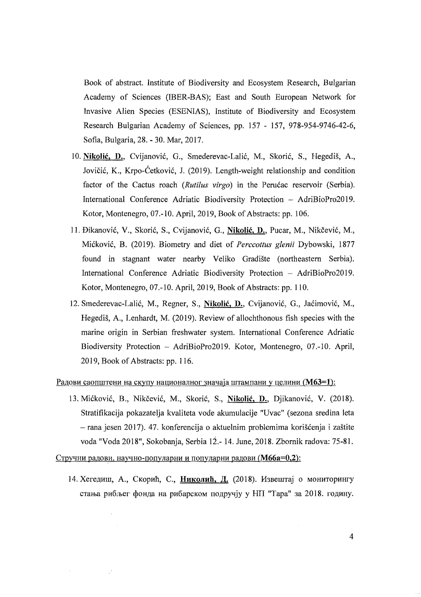Book of abstract. Institute of Biodiversity and Ecosystem Research, Bulgarian Academy of Sciences (IBER-BAS); East and South European Network for Invasive Alien Species (ESENIAS), Institute of Biodiversity and Ecosystem Research Bulgarian Academy of Sciences, pp. 157 - 157, 978-954-9746-42-6, Sofia, Bulgaria, 28. - 30. Mar, 2017.

- 10. Nikolić, D., Cvijanović, G., Smederevac-Lalić, M., Skorić, S., Hegediš, A., Jovičić, K., Krpo-Ćetković, J. (2019). Length-weight relationship and condition factor of the Cactus roach *(Rutilus virgo)* in the Perućac reservoir *(Serbia)*. International Conference Adriatic Biodiversity Protection - AdriBioPro2019. Kotor, Montenegro, 07.-10. April, 2019, Book of Abstracts: pp. 106.
- 11. Đikanović, V., Skorić, S., Cvijanović, G., Nikolić, D., Pucar, M., Nikčević, M., Miekovi6, R (2019). Biometry and diet of *Perccottus glenii* Dybowski, 1877 found in stagnant water nearby Veliko Gradiste (northeastern Serbia). International Conference Adriatic Biodiversity Protection - AdriBioPro2019. Kotor, Montenegro, 07.-10. April, 2019, Book of Abstracts: pp. 110.
- 12. Smederevac-Lalic, M., Regner, S., Nikolic, D., Cvijanovic, G., Jaeimovic, M., Hegediš, A., Lenhardt, M. (2019). Review of allochthonous fish species with the marine origin in Serbian freshwater system. International Conference Adriatic Biodiversity Protection - AdriBioPro2019. Kotor, Montenegro, 07.-10. April, 2019, Book of Abstracts: pp. 116.

<u>Радови саопштени на скупу</u> националног значаја штампани у целини (**M63=1**):

13. Mićković, B., Nikčević, M., Skorić, S., Nikolić, D., Djikanović, V. (2018). Stratifikacija pokazatelja kvaliteta vode akumulacije "Uvac" (sezona sredina leta rana jesen 2017). 47. konferencija 0 aktuelnim problemima koriscenja i zastite voda "Voda 2018", Sokobanja, Serbia 12.- 14. June, 2018. Zbornik radova: 75-8l.

Стручни радови, научно-популарни и популарни радови (М66а=0,2):

 $\ddot{\phantom{a}}$ 

 $\sim 10^4$ 

 $\sim$ 

14. Хегедиш, А., Скорић, С., Николић, Д. (2018). Извештај о мониторингу стања рибљег фонда на рибарском подручју у НП "Тара" за 2018. годину.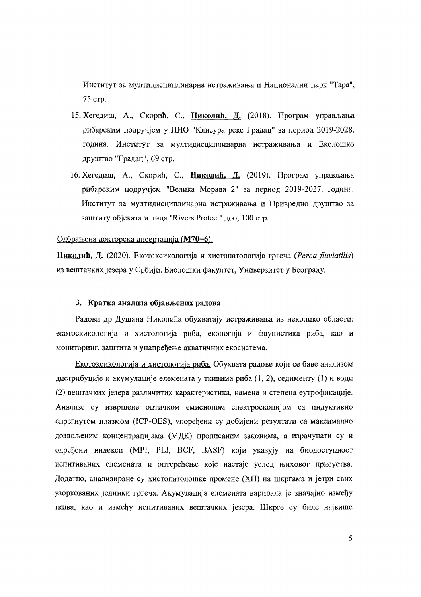Институт за мултидисциплинарна истраживања и Национални парк "Тара", 75 стр.

- 15. Хегедиш, А., Скорић, С., Николић, Д. (2018). Програм управљања рибарским подручјем у ПИО "Клисура реке Градац" за период 2019-2028. година. Институт за мултидисциплинарна истраживања и Еколошко друштво "Градац", 69 стр.
- 16. Хегедиш, А., Скорић, С., Николић, Д. (2019). Програм управљања рибарским подручјем "Велика Морава 2" за период 2019-2027. година. Институт за мултидисциплинарна истраживања и Привредно друштво за заштиту објеката и лица "Rivers Protect" доо, 100 стр.

### Одбрањена докторска дисертација (М70=6):

Николић, Д. (2020). Екотоксикологија и хистопатологија гргеча (Perca fluviatilis) из вештачких језера у Србији. Биолошки факултет, Универзитет у Београду.

### 3. Кратка анализа објављених радова

Радови др Душана Николића обухватају истраживања из неколико области: екотоскикологија и хистологија риба, екологија и фаунистика риба, као и мониторинг, заштита и унапређење акватичних екосистема.

Екотоксикологија и хистологија риба. Обухвата радове који се баве анализом дистрибуције и акумулације елемената у ткивима риба (1, 2), седименту (1) и води (2) вештачких језера различитих карактеристика, намена и степена еутрофикације. Анализе су извршене оптичком емисионом спектроскопијом са индуктивно спрегнутом плазмом (ICP-OES), упоређени су добијени резултати са максимално дозвољеним концентрацијама (МДК) прописаним законима, а израчунати су и одређени индекси (MPI, PLI, BCF, BASF) који указују на биодоступност испитиваних елемената и оптерећење које настаје услед њиховог присуства. Додатно, анализиране су хистопатолошке промене (XII) на шкргама и јетри свих узоркованих јединки гргеча. Акумулација елемената варирала је значајно између ткива, као и између испитиваних вештачких језера. Шкрге су биле највише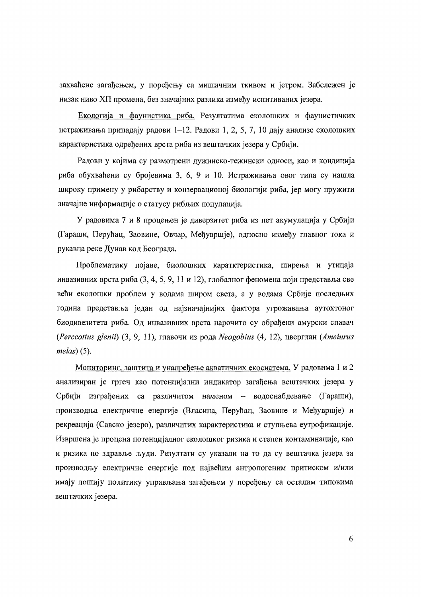захваћене загађењем, у поређењу са мишичним ткивом и јетром. Забележен је низак ниво XII промена, без значајних разлика између испитиваних језера.

Екологија и фаунистика риба. Резултатима еколошких и фаунистичких истраживања припадају радови 1-12. Радови 1, 2, 5, 7, 10 дају анализе еколошких карактеристика одређених врста риба из вештачких језера у Србији.

Радови у којима су размотрени дужинско-тежински односи, као и кондиција риба обухваћени су бројевима 3, 6, 9 и 10. Истраживања овог типа су нашла широку примену у рибарству и конзервационој биологији риба, јер могу пружити значајне информације о статусу рибљих популација.

У радовима 7 и 8 процењен је диверзитет риба из пет акумулација у Србији (Гараши, Перућац, Заовине, Овчар, Међувршје), односно између главног тока и рукавца реке Дунав код Београда.

Проблематику појаве, биолошких каратктеристика, ширења и утицаја инвазивних врста риба (3, 4, 5, 9, 11 и 12), глобалног феномена који представља све већи еколошки проблем у водама широм света, а у водама Србије последњих година представља један од најзначајнијих фактора угрожавања аутохтоног биодивезитета риба. Од инвазивних врста нарочито су обрађени амурски спавач (Perccottus glenii) (3, 9, 11), главочи из рода Neogobius (4, 12), цверглан (Ameiurus  $melas$  (5).

Мониторинг, заштита и унапређење акватичних екосистема. У радовима 1 и 2 анализиран је гргеч као потенцијални индикатор загађења вештачких језера у Србији изграђених са различитом наменом - водоснабдевање (Гараши), производња електричне енергије (Власина, Перућац, Заовине и Међувршје) и рекреација (Савско језеро), различитих карактеристика и ступњева еутрофикације. Извршена је процена потенцијалног еколошког ризика и степен контаминације, као и ризика по здравље људи. Резултати су указали на то да су вештачка језера за производњу електричне енергије под највећим антропогеним притиском и/или имају лошију политику управљања загађењем у поређењу са осталим типовима вештачких језера.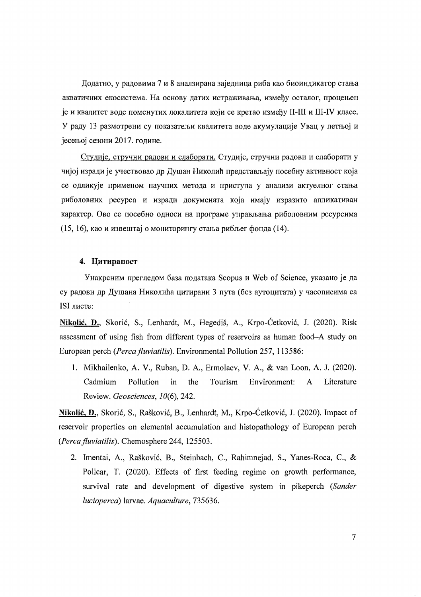Додатно, у радовима 7 и 8 аналзирана заједница риба као биоиндикатор стања акватичних екосистема. На основу датих истраживања, између осталог, процењен је и квалитет воде поменутих локалитета који се кретао између II-III и III-IV класе. У раду 13 размотрени су показатељи квалитета воде акумулације Увац у летњој и јесењој сезони 2017. године.

Студије, стручни радови и елаборати. Студије, стручни радови и елаборати у чијој изради је учествовао др Душан Николић представљају посебну активност која се одликује применом научних метода и приступа у анализи актуелног стања риболовних ресурса и изради докумената која имају изразито апликативан карактер. Ово се посебно односи на програме управљања риболовним ресурсима (15, 16), као и извештај о мониторингу стања рибљег фонда (14).

### 4. Цитираност

Унакрсним прегледом база података Scopus и Web of Science, указано је да су радови др Душана Николића цитирани 3 пута (без аутоцитата) у часописима са ISI листе:

Nikolić, D., Skorić, S., Lenhardt, M., Hegediš, A., Krpo-Ćetković, J. (2020). Risk assessment of using fish from different types of reservoirs as human food-A study on European perch (Perca fluviatilis). Environmental Pollution 257, 113586:

1. Mikhailenko, A. V., Ruban, D. A., Ermolaev, V. A., & van Loon, A. J. (2020). Cadmium **Pollution** in the Tourism Environment:  $\mathbf{A}$ Literature Review. Geosciences, 10(6), 242.

Nikolić, D., Skorić, S., Rašković, B., Lenhardt, M., Krpo-Ćetković, J. (2020). Impact of reservoir properties on elemental accumulation and histopathology of European perch (Perca fluviatilis). Chemosphere 244, 125503.

2. Imentai, A., Rašković, B., Steinbach, C., Rahimnejad, S., Yanes-Roca, C., & Policar, T. (2020). Effects of first feeding regime on growth performance, survival rate and development of digestive system in pikeperch (Sander lucioperca) larvae. Aquaculture, 735636.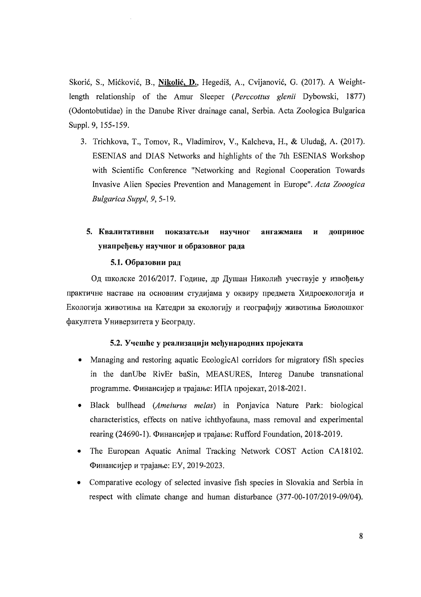Skorić, S., Mićković, B., Nikolić, D., Hegediš, A., Cvijanović, G. (2017). A Weightlength relationship of the Amur Sleeper (*Percottus glenii* Dybowski, 1877) (Odontobutidae) in the Danube River drainage canal, Serbia, Acta Zoologica Bulgarica Suppl. 9, 155-159.

3. Trichkova, T., Tomov, R., Vladimirov, V., Kalcheva, H., & Uludağ, A. (2017). ESENIAS and DIAS Networks and highlights of the 7th ESENIAS Workshop with Scientific Conference "Networking and Regional Cooperation Towards Invasive Alien Species Prevention and Management in Europe". Acta Zooogica Bulgarica Suppl, 9, 5-19.

#### 5. Квалитативни ангажманя показатељи научног лопринос  $\mathbf{u}$ унапређењу научног и образовног рада

### 5.1. Образовни рад

Од школске 2016/2017. Године, др Душан Николић учествује у извођењу практичне наставе на основним студијама у оквиру предмета Хидроекологија и Екологија животиња на Катедри за екологију и географију животиња Биолошког факултета Универзитета у Београду.

### 5.2. Учешће у реализацији међународних пројеката

- Managing and restoring aquatic EcologicAl corridors for migratory fish species in the danUbe RivEr baSin, MEASURES, Intereg Danube transnational ргодгатте. Финансијер и трајање: ИПА пројекат, 2018-2021.
- Black bullhead (Ameiurus melas) in Ponjavica Nature Park: biological characteristics, effects on native ichthyofauna, mass removal and experimental rearing (24690-1). Финансијер и трајање: Rufford Foundation, 2018-2019.
- The European Aquatic Animal Tracking Network COST Action CA18102.  $\bullet$ Финансијер и трајање: ЕУ, 2019-2023.
- Comparative ecology of selected invasive fish species in Slovakia and Serbia in  $\bullet$ respect with climate change and human disturbance (377-00-107/2019-09/04).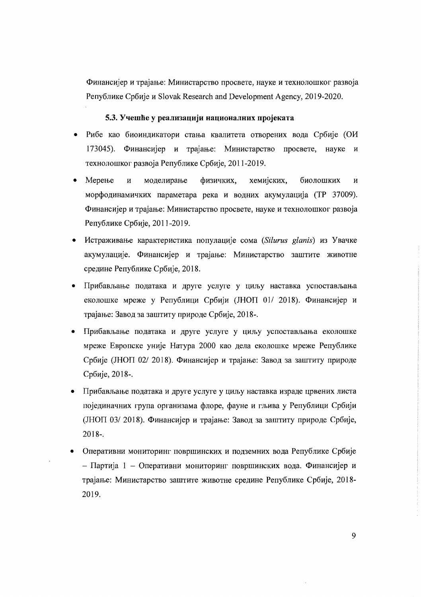Финансијер и трајање: Министарство просвете, науке и технолошког развоја Републике Србије и Slovak Research and Development Agency, 2019-2020.

### **5.3. Yqemlle y peaJIH3an:HjH Han:HOHaJIHHX npojeKaTa**

- Рибе као биоиндикатори стања квалитета отворених вода Србије (ОИ 173045). Финансијер и трајање: Министарство просвете, науке и технолошког развоја Републике Србије, 2011-2019.
- Мерење и моделирање физичких, хемијских, биолошких и морфодинамичких параметара река и водних акумулација (ТР 37009). Финансијер и трајање: Министарство просвете, науке и технолошког развоја Peny6nMKe Cp6Mje, 2011-2019.
- HCTpmKMBaIDe KapaKTepMCTMKa nonynall,Mje COMa *(Silurus glanis)* M3 YBaQKe акумулације. Финансијер и трајање: Министарство заштите животне средине Републике Србије, 2018.
- $\bullet$  Прибављање података и друге услуге у циљу наставка успостављања еколошке мреже у Републици Србији (ЈНОП 01/ 2018). Финансијер и трајање: Завод за заштиту природе Србије, 2018-.
- Прибављање података и друге услуге у циљу успостављања еколошке мреже Европске уније Натура 2000 као дела еколошке мреже Републике Србије (ЈНОП 02/2018). Финансијер и трајање: Завод за заштиту природе Cp6Mje, 2018-.
- Прибављање података и друге услуге у циљу наставка израде црвених листа појединачних група организама флоре, фауне и гљива у Републици Србији (JHOII 03/2018). Финансијер и трајање: Завод за заштиту природе Србије, 2018-.
- Оперативни мониторинг површинских и подземних вода Републике Србије - Партија 1 - Оперативни мониторинг површинских вода. Финансијер и трајање: Министарство заштите животне средине Републике Србије, 2018-2019.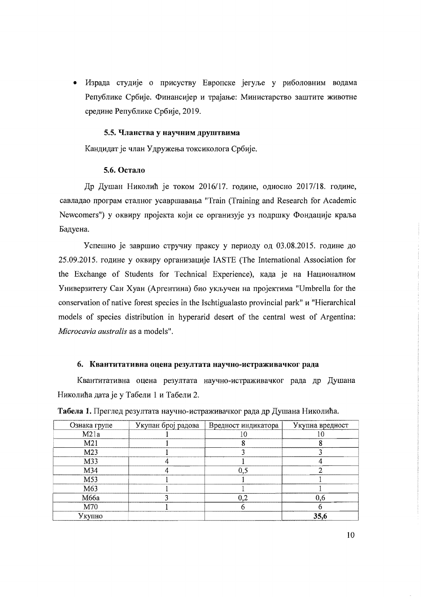• Израда студије о присуству Европске јегуље у риболовним водама Републике Србије. Финансијер и трајање: Министарство заштите животне средине Републике Србије, 2019.

### 5.5. Чланства у научним друштвима

Кандидат је члан Удружења токсиколога Србије.

### 5.6. Остало

Др Душан Николић је током 2016/17. године, односно 2017/18. године, савладао програм сталног усавршавања "Train (Training and Research for Academic Newcomers") у оквиру пројекта који се организује уз подршку Фондације краља Бадуена.

Успешно је завршио стручну праксу у периоду од 03.08.2015. године до 25.09.2015. године у оквиру организације IASTE (The International Association for the Exchange of Students for Technical Experience), када је на Националном Универзитету Сан Хуан (Аргентина) био укључен на пројектима "Umbrella for the conservation of native forest species in the Ischtigualasto provincial park" u "Hierarchical models of species distribution in hyperarid desert of the central west of Argentina: Microcavia australis as a models".

### 6. Квантитативна оцена резултата научно-истраживачког рада

Квантитативна оцена резултата научно-истраживачког рада др Душана Николића дата је у Табели 1 и Табели 2.

| Ознака групе    | Укупан број радова | Вредност индикатора | Укупна вредност |
|-----------------|--------------------|---------------------|-----------------|
| M21a            |                    |                     |                 |
| M <sub>21</sub> |                    |                     |                 |
| M23             |                    |                     |                 |
| M33             |                    |                     |                 |
| M34             |                    | 0,5                 |                 |
| M53             |                    |                     |                 |
| M63             |                    |                     |                 |
| M66a            |                    | $_{0,2}$            | 0,6             |
| M70             |                    |                     |                 |
| Укупно          |                    |                     | 35,6            |

Табела 1. Преглед резултата научно-истраживачког рада др Душана Николића.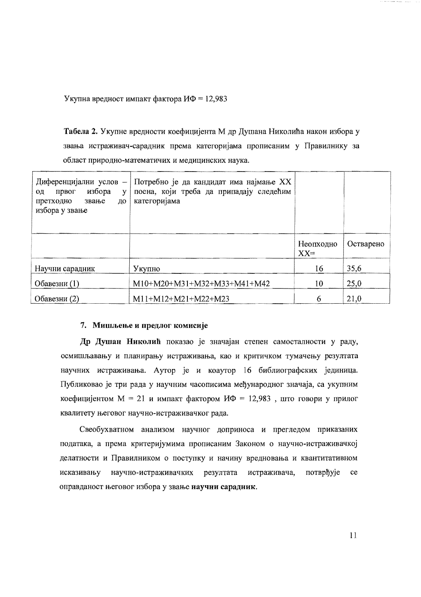Укупна вредност импакт фактора ИФ = 12,983

Табела 2. Укупне вредности коефицијента М др Душана Николића након избора у звања истраживач-сарадник према категоријама прописаним у Правилнику за област природно-математичих и медицинских наука.

| Диференцијални услов -<br>избора<br>првог<br>V<br>ОД<br>претходно<br>звање<br>до<br>избора у звање | Потребно је да кандидат има најмање XX<br>поена, који треба да припадају следећим<br>категоријама |                     |           |
|----------------------------------------------------------------------------------------------------|---------------------------------------------------------------------------------------------------|---------------------|-----------|
|                                                                                                    |                                                                                                   | Неопходно<br>$XX =$ | Остварено |
| Научни сарадник                                                                                    | Укупно                                                                                            | 16                  | 35,6      |
| Обавезни (1)                                                                                       | $M10+M20+M31+M32+M33+M41+M42$                                                                     | 10                  | 25,0      |
| Обавезни (2)                                                                                       | $M11+M12+M21+M22+M23$                                                                             | 6                   | 21,0      |

### 7. Мишљење и предлог комисије

Др Душан Николић показао је значајан степен самосталности у раду, осмишљавању и планирању истраживања, као и критичком тумачењу резултата научних истраживања. Аутор је и коаутор 16 библиографских јединица. Публиковао је три рада у научним часописима међународног значаја, са укупним коефицијентом  $M = 21$  и импакт фактором  $M\Phi = 12,983$ , што говори у прилог квалитету његовог научно-истраживачког рада.

Свеобухватном анализом научног доприноса и прегледом приказаних података, а према критеријумима прописаним Законом о научно-истраживачкој делатности и Правилником о поступку и начину вредновања и квантитативном исказивању научно-истраживачких резултата истраживача, потврђује  $ce$ оправданост његовог избора у звање научни сарадник.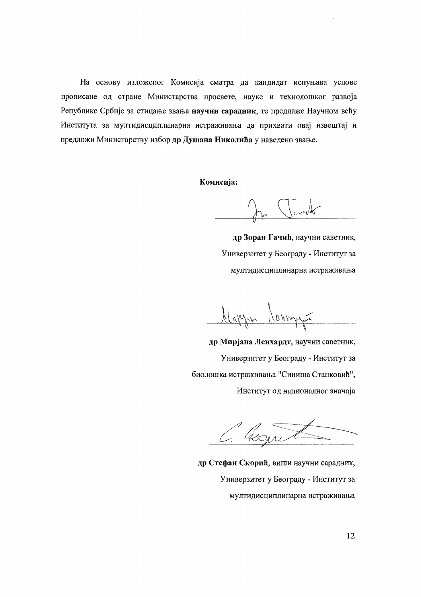На основу изложеног Комисија сматра да кандидат испуњава услове прописане од стране Министарства просвете, науке и технолошког развоја Републике Србије за стицање звања научни сарадник, те предлаже Научном већу Института за мултидисциплинарна истраживања да прихвати овај извештај и предложи Министарству избор др Душана Николића у наведено звање.

Комисија:

James

др Зоран Гачић, научни саветник, Универзитет у Београду - Институт за мултидисциплинарна истраживања

Mapzan Nevergan

др Мирјана Ленхардт, научни саветник, Универзитет у Београду - Институт за биолошка истраживања "Синиша Станковић", Институт од националног значаја

C. Wown

др Стефан Скорић, виши научни сарадник, Универзитет у Београду - Институт за мултидисциплинарна истраживања